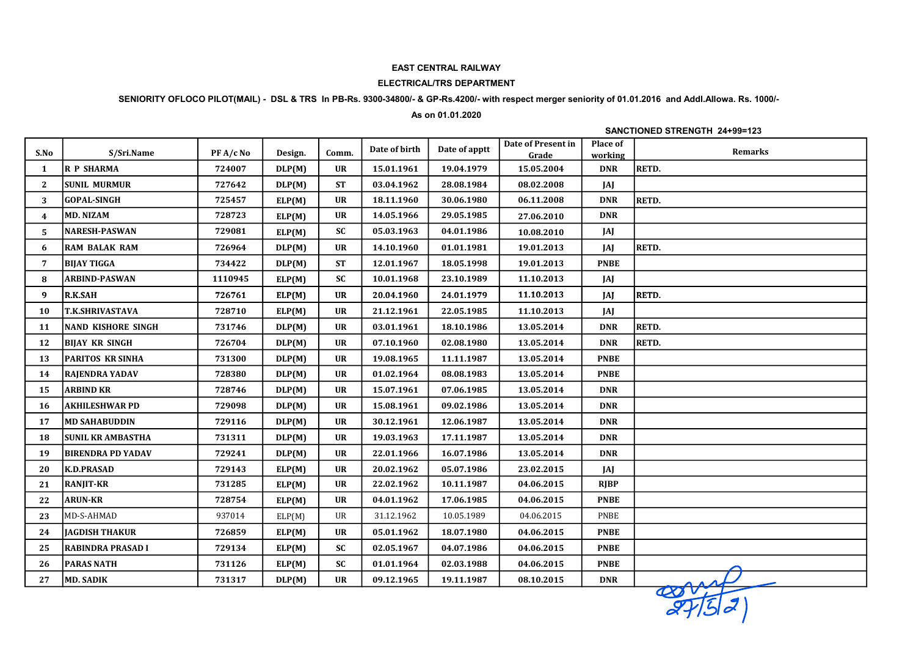## EAST CENTRAL RAILWAY

## ELECTRICAL/TRS DEPARTMENT

# SENIORITY OFLOCO PILOT(MAIL) - DSL & TRS In PB-Rs. 9300-34800/- & GP-Rs.4200/- with respect merger seniority of 01.01.2016 and Addl.Allowa. Rs. 1000/-

## As on 01.01.2020

## SANCTIONED STRENGTH 24+99=123

| S.No         | S/Sri.Name               | PF A/c No | Design. | Comm.         | Date of birth | Date of apptt | Date of Present in<br>Grade | <b>Place of</b><br>working | <b>Remarks</b> |
|--------------|--------------------------|-----------|---------|---------------|---------------|---------------|-----------------------------|----------------------------|----------------|
| 1            | <b>R P SHARMA</b>        | 724007    | DLP(M)  | <b>UR</b>     | 15.01.1961    | 19.04.1979    | 15.05.2004                  | <b>DNR</b>                 | <b>RETD.</b>   |
| $\mathbf{2}$ | <b>SUNIL MURMUR</b>      | 727642    | DLP(M)  | <b>ST</b>     | 03.04.1962    | 28.08.1984    | 08.02.2008                  | JAJ                        |                |
| 3            | <b>GOPAL-SINGH</b>       | 725457    | ELP(M)  | <b>UR</b>     | 18.11.1960    | 30.06.1980    | 06.11.2008                  | <b>DNR</b>                 | RETD.          |
| 4            | <b>MD. NIZAM</b>         | 728723    | ELP(M)  | <b>UR</b>     | 14.05.1966    | 29.05.1985    | 27.06.2010                  | <b>DNR</b>                 |                |
| 5            | <b>NARESH-PASWAN</b>     | 729081    | ELP(M)  | $\mathbf{SC}$ | 05.03.1963    | 04.01.1986    | 10.08.2010                  | JAJ                        |                |
| 6            | <b>RAM BALAK RAM</b>     | 726964    | DLP(M)  | <b>UR</b>     | 14.10.1960    | 01.01.1981    | 19.01.2013                  | JAJ                        | <b>RETD.</b>   |
| 7            | <b>BIJAY TIGGA</b>       | 734422    | DLP(M)  | <b>ST</b>     | 12.01.1967    | 18.05.1998    | 19.01.2013                  | <b>PNBE</b>                |                |
| 8            | <b>ARBIND-PASWAN</b>     | 1110945   | ELP(M)  | <b>SC</b>     | 10.01.1968    | 23.10.1989    | 11.10.2013                  | JAJ                        |                |
| 9            | R.K.SAH                  | 726761    | ELP(M)  | <b>UR</b>     | 20.04.1960    | 24.01.1979    | 11.10.2013                  | JAJ                        | RETD.          |
| 10           | <b>T.K.SHRIVASTAVA</b>   | 728710    | ELP(M)  | <b>UR</b>     | 21.12.1961    | 22.05.1985    | 11.10.2013                  | JAJ                        |                |
| 11           | NAND KISHORE SINGH       | 731746    | DLP(M)  | <b>UR</b>     | 03.01.1961    | 18.10.1986    | 13.05.2014                  | <b>DNR</b>                 | RETD.          |
| 12           | <b>BIJAY KR SINGH</b>    | 726704    | DLP(M)  | <b>UR</b>     | 07.10.1960    | 02.08.1980    | 13.05.2014                  | <b>DNR</b>                 | <b>RETD.</b>   |
| 13           | <b>PARITOS KR SINHA</b>  | 731300    | DLP(M)  | <b>UR</b>     | 19.08.1965    | 11.11.1987    | 13.05.2014                  | <b>PNBE</b>                |                |
| 14           | RAJENDRA YADAV           | 728380    | DLP(M)  | <b>UR</b>     | 01.02.1964    | 08.08.1983    | 13.05.2014                  | <b>PNBE</b>                |                |
| 15           | <b>ARBIND KR</b>         | 728746    | DLP(M)  | <b>UR</b>     | 15.07.1961    | 07.06.1985    | 13.05.2014                  | <b>DNR</b>                 |                |
| 16           | <b>AKHILESHWAR PD</b>    | 729098    | DLP(M)  | <b>UR</b>     | 15.08.1961    | 09.02.1986    | 13.05.2014                  | <b>DNR</b>                 |                |
| 17           | <b>MD SAHABUDDIN</b>     | 729116    | DLP(M)  | <b>UR</b>     | 30.12.1961    | 12.06.1987    | 13.05.2014                  | <b>DNR</b>                 |                |
| 18           | <b>SUNIL KR AMBASTHA</b> | 731311    | DLP(M)  | <b>UR</b>     | 19.03.1963    | 17.11.1987    | 13.05.2014                  | <b>DNR</b>                 |                |
| 19           | <b>BIRENDRA PD YADAV</b> | 729241    | DLP(M)  | <b>UR</b>     | 22.01.1966    | 16.07.1986    | 13.05.2014                  | <b>DNR</b>                 |                |
| 20           | <b>K.D.PRASAD</b>        | 729143    | ELP(M)  | <b>UR</b>     | 20.02.1962    | 05.07.1986    | 23.02.2015                  | JAJ                        |                |
| 21           | <b>RANJIT-KR</b>         | 731285    | ELP(M)  | <b>UR</b>     | 22.02.1962    | 10.11.1987    | 04.06.2015                  | <b>RIBP</b>                |                |
| 22           | <b>ARUN-KR</b>           | 728754    | ELP(M)  | <b>UR</b>     | 04.01.1962    | 17.06.1985    | 04.06.2015                  | <b>PNBE</b>                |                |
| 23           | MD-S-AHMAD               | 937014    | ELP(M)  | UR            | 31.12.1962    | 10.05.1989    | 04.06.2015                  | PNBE                       |                |
| 24           | <b>JAGDISH THAKUR</b>    | 726859    | ELP(M)  | <b>UR</b>     | 05.01.1962    | 18.07.1980    | 04.06.2015                  | <b>PNBE</b>                |                |
| 25           | <b>RABINDRA PRASAD I</b> | 729134    | ELP(M)  | $\mathbf{SC}$ | 02.05.1967    | 04.07.1986    | 04.06.2015                  | <b>PNBE</b>                |                |
| 26           | <b>PARAS NATH</b>        | 731126    | ELP(M)  | SC            | 01.01.1964    | 02.03.1988    | 04.06.2015                  | <b>PNBE</b>                |                |
| 27           | MD. SADIK                | 731317    | DLP(M)  | <b>UR</b>     | 09.12.1965    | 19.11.1987    | 08.10.2015                  | <b>DNR</b>                 | asst           |
|              |                          |           |         |               |               |               |                             |                            |                |

 $\frac{1}{2752}$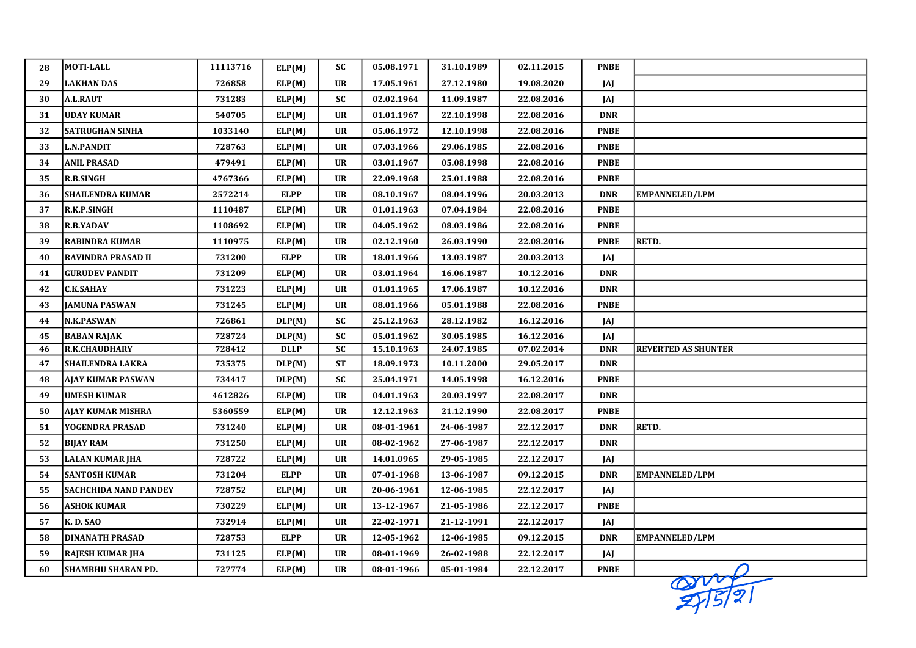| 28 | <b>MOTI-LALL</b>             | 11113716 | ELP(M)      | ${\bf SC}$                        | 05.08.1971 | 31.10.1989 | 02.11.2015 | <b>PNBE</b> |                            |
|----|------------------------------|----------|-------------|-----------------------------------|------------|------------|------------|-------------|----------------------------|
| 29 | <b>LAKHAN DAS</b>            | 726858   | ELP(M)      | <b>UR</b>                         | 17.05.1961 | 27.12.1980 | 19.08.2020 | JAJ         |                            |
| 30 | <b>A.L.RAUT</b>              | 731283   | ELP(M)      | <b>SC</b>                         | 02.02.1964 | 11.09.1987 | 22.08.2016 | JAJ         |                            |
| 31 | <b>UDAY KUMAR</b>            | 540705   | ELP(M)      | <b>UR</b>                         | 01.01.1967 | 22.10.1998 | 22.08.2016 | <b>DNR</b>  |                            |
| 32 | <b>SATRUGHAN SINHA</b>       | 1033140  | ELP(M)      | <b>UR</b>                         | 05.06.1972 | 12.10.1998 | 22.08.2016 | <b>PNBE</b> |                            |
| 33 | <b>L.N.PANDIT</b>            | 728763   | ELP(M)      | $\ensuremath{\mathsf{UR}}\xspace$ | 07.03.1966 | 29.06.1985 | 22.08.2016 | <b>PNBE</b> |                            |
| 34 | <b>ANIL PRASAD</b>           | 479491   | ELP(M)      | <b>UR</b>                         | 03.01.1967 | 05.08.1998 | 22.08.2016 | <b>PNBE</b> |                            |
| 35 | R.B.SINGH                    | 4767366  | ELP(M)      | <b>UR</b>                         | 22.09.1968 | 25.01.1988 | 22.08.2016 | <b>PNBE</b> |                            |
| 36 | <b>SHAILENDRA KUMAR</b>      | 2572214  | <b>ELPP</b> | <b>UR</b>                         | 08.10.1967 | 08.04.1996 | 20.03.2013 | <b>DNR</b>  | <b>EMPANNELED/LPM</b>      |
| 37 | R.K.P.SINGH                  | 1110487  | ELP(M)      | <b>UR</b>                         | 01.01.1963 | 07.04.1984 | 22.08.2016 | <b>PNBE</b> |                            |
| 38 | <b>R.B.YADAV</b>             | 1108692  | ELP(M)      | UR                                | 04.05.1962 | 08.03.1986 | 22.08.2016 | <b>PNBE</b> |                            |
| 39 | <b>RABINDRA KUMAR</b>        | 1110975  | ELP(M)      | $\ensuremath{\mathsf{UR}}\xspace$ | 02.12.1960 | 26.03.1990 | 22.08.2016 | <b>PNBE</b> | RETD.                      |
| 40 | <b>RAVINDRA PRASAD II</b>    | 731200   | <b>ELPP</b> | <b>UR</b>                         | 18.01.1966 | 13.03.1987 | 20.03.2013 | JAJ         |                            |
| 41 | <b>GURUDEV PANDIT</b>        | 731209   | ELP(M)      | <b>UR</b>                         | 03.01.1964 | 16.06.1987 | 10.12.2016 | <b>DNR</b>  |                            |
| 42 | <b>C.K.SAHAY</b>             | 731223   | ELP(M)      | <b>UR</b>                         | 01.01.1965 | 17.06.1987 | 10.12.2016 | <b>DNR</b>  |                            |
| 43 | <b>JAMUNA PASWAN</b>         | 731245   | ELP(M)      | $\ensuremath{\mathbf{UR}}\xspace$ | 08.01.1966 | 05.01.1988 | 22.08.2016 | <b>PNBE</b> |                            |
| 44 | <b>N.K.PASWAN</b>            | 726861   | DLP(M)      | <b>SC</b>                         | 25.12.1963 | 28.12.1982 | 16.12.2016 | JAJ         |                            |
| 45 | <b>BABAN RAJAK</b>           | 728724   | DLP(M)      | <b>SC</b>                         | 05.01.1962 | 30.05.1985 | 16.12.2016 | JAJ         |                            |
| 46 | <b>R.K.CHAUDHARY</b>         | 728412   | <b>DLLP</b> | SC                                | 15.10.1963 | 24.07.1985 | 07.02.2014 | <b>DNR</b>  | <b>REVERTED AS SHUNTER</b> |
| 47 | <b>SHAILENDRA LAKRA</b>      | 735375   | DLP(M)      | <b>ST</b>                         | 18.09.1973 | 10.11.2000 | 29.05.2017 | <b>DNR</b>  |                            |
| 48 | <b>AJAY KUMAR PASWAN</b>     | 734417   | DLP(M)      | <b>SC</b>                         | 25.04.1971 | 14.05.1998 | 16.12.2016 | <b>PNBE</b> |                            |
| 49 | UMESH KUMAR                  | 4612826  | ELP(M)      | <b>UR</b>                         | 04.01.1963 | 20.03.1997 | 22.08.2017 | <b>DNR</b>  |                            |
| 50 | <b>AJAY KUMAR MISHRA</b>     | 5360559  | ELP(M)      | $\ensuremath{\mathsf{UR}}\xspace$ | 12.12.1963 | 21.12.1990 | 22.08.2017 | <b>PNBE</b> |                            |
| 51 | YOGENDRA PRASAD              | 731240   | ELP(M)      | <b>UR</b>                         | 08-01-1961 | 24-06-1987 | 22.12.2017 | <b>DNR</b>  | RETD.                      |
| 52 | <b>BIJAY RAM</b>             | 731250   | ELP(M)      | <b>UR</b>                         | 08-02-1962 | 27-06-1987 | 22.12.2017 | <b>DNR</b>  |                            |
| 53 | LALAN KUMAR JHA              | 728722   | ELP(M)      | UR                                | 14.01.0965 | 29-05-1985 | 22.12.2017 | JAJ         |                            |
| 54 | <b>SANTOSH KUMAR</b>         | 731204   | <b>ELPP</b> | <b>UR</b>                         | 07-01-1968 | 13-06-1987 | 09.12.2015 | <b>DNR</b>  | <b>EMPANNELED/LPM</b>      |
| 55 | <b>SACHCHIDA NAND PANDEY</b> | 728752   | ELP(M)      | UR                                | 20-06-1961 | 12-06-1985 | 22.12.2017 | JAJ         |                            |
| 56 | <b>ASHOK KUMAR</b>           | 730229   | ELP(M)      | $\ensuremath{\mathsf{UR}}\xspace$ | 13-12-1967 | 21-05-1986 | 22.12.2017 | <b>PNBE</b> |                            |
| 57 | K. D. SAO                    | 732914   | ELP(M)      | <b>UR</b>                         | 22-02-1971 | 21-12-1991 | 22.12.2017 | JAJ         |                            |
| 58 | <b>DINANATH PRASAD</b>       | 728753   | <b>ELPP</b> | $\ensuremath{\mathsf{UR}}\xspace$ | 12-05-1962 | 12-06-1985 | 09.12.2015 | <b>DNR</b>  | <b>EMPANNELED/LPM</b>      |
| 59 | RAJESH KUMAR JHA             | 731125   | ELP(M)      | <b>UR</b>                         | 08-01-1969 | 26-02-1988 | 22.12.2017 | JAJ         |                            |
| 60 | <b>SHAMBHU SHARAN PD.</b>    | 727774   | ELP(M)      | <b>UR</b>                         | 08-01-1966 | 05-01-1984 | 22.12.2017 | <b>PNBE</b> |                            |

 $2/5/21$